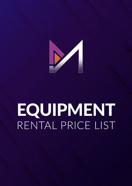

# EQUIPMENT RENTAL PRICE LIST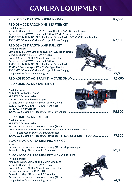## **CAMERA EQUIPMENT**

|                                                                                                                                                                                                                                                                                                                                                                                                                                                                   | R5,000        |
|-------------------------------------------------------------------------------------------------------------------------------------------------------------------------------------------------------------------------------------------------------------------------------------------------------------------------------------------------------------------------------------------------------------------------------------------------------------------|---------------|
| <b>RED DSMC2 DRAGON X 6K STARTER KIT</b><br>The kit includes:<br>Sigma 18-35mm f/1.8 DC HSM Art Lens, The RED 4.7" LCD Touch screen,<br>2x DX DUO-C98 96Wh High-Load Battery, DSMC2 Outrigger Handle,<br>480GB RED MINI MAG +G-Technology ev Series Reader, SCMC AC Power Adapter,                                                                                                                                                                                | R7,500        |
| <b>RED DSMC2 DRAGON X 6K FULL KIT</b><br>The kit includes:<br>Samyang T1.5 35mm Cine Lens, RED 4.7" LCD Touch screen,<br>Sigma 18-35mm f/1.8 DC HSM Art Lens,<br>Godox GM55 5.5 4k HDMI touch screen monitor,<br>2x DX DUO-C98 96Wh High-Load Battery,<br>480GB RED MINI MAG +G-Technology ev Series Reader,<br>SCMC AC Power Adapter, DSMC2 Outrigger Handle,<br>IDX VL-2X 2-Channel V-Mount Charger & Power Supply,<br>[Shape] Follow focus Shoulder Rig System | R9,000        |
| RED KOMODO 6K (BRAIN IN A CAGE ONLY)                                                                                                                                                                                                                                                                                                                                                                                                                              | R3,000        |
| <b>RED KOMODO 6K STARTER KIT</b>                                                                                                                                                                                                                                                                                                                                                                                                                                  |               |
| The kit includes:<br>TILTA RED KOMODO CAGE<br>24<br>XEEN T1.5 24mm cine lens,<br>Tilta FF-T06 Mini Follow Focus gear,<br>1x nano two ultracompact v-mount battery (98wh),<br>512GB RED PRO C-FAST + C-FAST card reader<br><b>SCMC AC Power Adapter,</b><br>IDX VL-2X 2-Channel V-Mount Charger & Power Supply                                                                                                                                                     | R5,500        |
| <b>RED KOMODO 6K FULL KIT</b><br>The kit includes:<br>XEEN T1.5 24mm cine lens,<br>2x nano two ultracompact v-mount battery (98wh),<br>Godox GM55 5.5 4k HDMI touch screen monitor, 512GB RED PRO C-FAST<br>+C-FAST card reader, SCMC AC Power Adapter,<br>IDX VL-2X 2-Channel V-Mount Charger, [Shape] Follow focus Shoulder Rig System                                                                                                                          | R7,500        |
| <b>BLACK MAGIC URSA MINI PRO 4.6K G2</b><br>Includes:<br>1x nano two ultracompact v-mount battery (98wh), XIr power supply                                                                                                                                                                                                                                                                                                                                        | <b>R2,000</b> |
| <b>BLACK MAGIC URSA MINI PRO 4.6K G2 Full Kit</b><br>The kit includes:<br>XIr power supply, Samyang T1.5 35mm Cine Lens,<br>Sigma 18-35mm f/1.8 DC HSM Art Lens,<br>Godox GM55 5.5 4k HDMI touch screen monitor,<br>1x Samsung portable SSD T5-1TB,<br>2x sandisk 128gb SD cards with SD adapter,<br>2x nano two ultracompact v-mount battery (98wh),                                                                                                             |               |

[Shape] Follow focus Shoulder Rig System **.......................................................................... R4,000**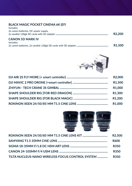#### **BLACK MAGIC POCKET CINEMA 6K (EF)**

| Includes:                            |                     |
|--------------------------------------|---------------------|
| 2x canon batteries, DC power supply, |                     |
|                                      | R <sub>2</sub> .200 |
| <b>CANON 5D MARK IV</b>              |                     |
| Includes:                            |                     |
|                                      | <b>R1.500</b>       |



| <b>R2,000</b>       |
|---------------------|
| R <sub>1</sub> ,500 |
| R <sub>1</sub> ,000 |
| R1,300              |
| R <sub>1</sub> ,200 |
|                     |



|                                                  | R2.500      |
|--------------------------------------------------|-------------|
|                                                  | <b>R600</b> |
|                                                  | <b>R350</b> |
|                                                  | <b>R350</b> |
| TILTA NUCLEUS-NANO WIRELESS FOCUS CONTROL SYSTEM | <b>R350</b> |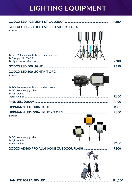## **LIGHTING EQUIPMENT**

|                                                                                           | <b>R200</b> |
|-------------------------------------------------------------------------------------------|-------------|
| <b>GODOX LED RGB LIGHT STICK LC500R KIT OF 4</b>                                          |             |
| Includes                                                                                  |             |
| 4x RC-R9 Remote controls with modes presets<br>4x Chargers (16.8V/1.2)                    | <b>R700</b> |
|                                                                                           | <b>R350</b> |
| <b>GODOX LED 500 LIGHT KIT OF 2</b>                                                       |             |
| <b>Includes</b>                                                                           |             |
| 2x RC- Remote controls with modes presets<br>2x DC power supply cables<br>2x light stands | <b>R600</b> |
|                                                                                           | <b>R400</b> |
|                                                                                           | <b>R300</b> |
|                                                                                           | <b>R800</b> |
| Includes<br>3x DC power supply cables<br>3x light stands                                  | <b>R600</b> |
| <b>GODOX AD600 PRO ALL-IN-ONE OUTDOOR FLASH </b>                                          | <b>R500</b> |
|                                                                                           |             |
|                                                                                           | R1,500      |